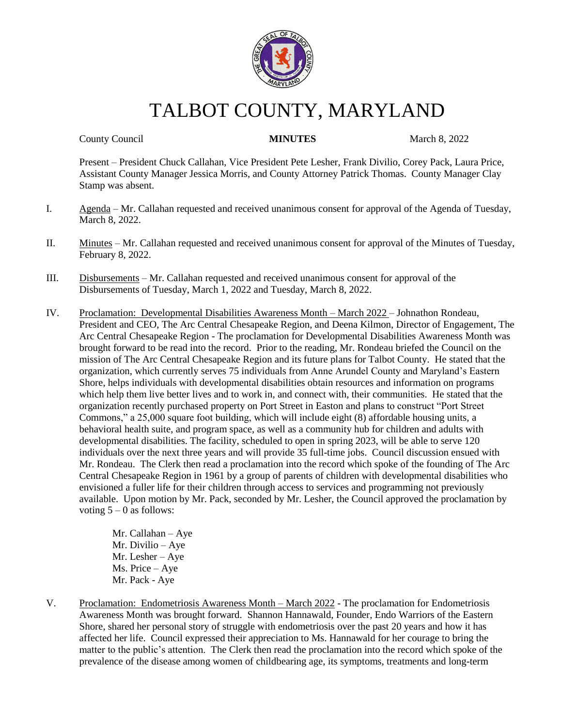

# TALBOT COUNTY, MARYLAND

**County Council 19 County Council 19 County Council 19 County Council 19 County Council 19 Council 19 Council 19 Council 19 Council 19 Council 19 Council 19 Council 19 Council 19 Council 19 Council 19 Council 19 Council 19** 

Present – President Chuck Callahan, Vice President Pete Lesher, Frank Divilio, Corey Pack, Laura Price, Assistant County Manager Jessica Morris, and County Attorney Patrick Thomas. County Manager Clay Stamp was absent.

- I. Agenda Mr. Callahan requested and received unanimous consent for approval of the Agenda of Tuesday, March 8, 2022.
- II. Minutes Mr. Callahan requested and received unanimous consent for approval of the Minutes of Tuesday, February 8, 2022.
- III. Disbursements Mr. Callahan requested and received unanimous consent for approval of the Disbursements of Tuesday, March 1, 2022 and Tuesday, March 8, 2022.
- IV. Proclamation: Developmental Disabilities Awareness Month March 2022 Johnathon Rondeau, President and CEO, The Arc Central Chesapeake Region, and Deena Kilmon, Director of Engagement, The Arc Central Chesapeake Region - The proclamation for Developmental Disabilities Awareness Month was brought forward to be read into the record. Prior to the reading, Mr. Rondeau briefed the Council on the mission of The Arc Central Chesapeake Region and its future plans for Talbot County. He stated that the organization, which currently serves 75 individuals from Anne Arundel County and Maryland's Eastern Shore, helps individuals with developmental disabilities obtain resources and information on programs which help them live better lives and to work in, and connect with, their communities. He stated that the organization recently purchased property on Port Street in Easton and plans to construct "Port Street Commons," a 25,000 square foot building, which will include eight (8) affordable housing units, a behavioral health suite, and program space, as well as a community hub for children and adults with developmental disabilities. The facility, scheduled to open in spring 2023, will be able to serve 120 individuals over the next three years and will provide 35 full-time jobs. Council discussion ensued with Mr. Rondeau. The Clerk then read a proclamation into the record which spoke of the founding of The Arc Central Chesapeake Region in 1961 by a group of parents of children with developmental disabilities who envisioned a fuller life for their children through access to services and programming not previously available. Upon motion by Mr. Pack, seconded by Mr. Lesher, the Council approved the proclamation by voting  $5 - 0$  as follows:

Mr. Callahan – Aye Mr. Divilio – Aye Mr. Lesher – Aye Ms. Price – Aye Mr. Pack - Aye

V. Proclamation: Endometriosis Awareness Month – March 2022 - The proclamation for Endometriosis Awareness Month was brought forward. Shannon Hannawald, Founder, Endo Warriors of the Eastern Shore, shared her personal story of struggle with endometriosis over the past 20 years and how it has affected her life. Council expressed their appreciation to Ms. Hannawald for her courage to bring the matter to the public's attention. The Clerk then read the proclamation into the record which spoke of the prevalence of the disease among women of childbearing age, its symptoms, treatments and long-term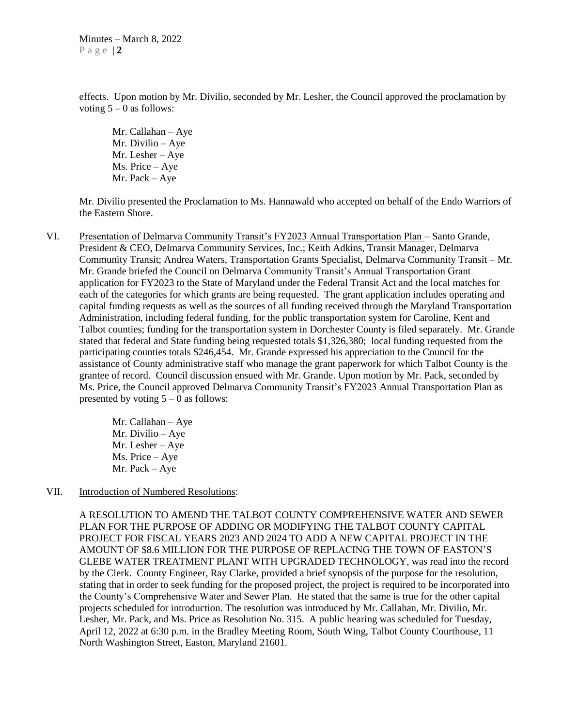effects. Upon motion by Mr. Divilio, seconded by Mr. Lesher, the Council approved the proclamation by voting  $5 - 0$  as follows:

Mr. Callahan – Aye Mr. Divilio – Aye Mr. Lesher – Aye Ms. Price – Aye Mr. Pack – Aye

Mr. Divilio presented the Proclamation to Ms. Hannawald who accepted on behalf of the Endo Warriors of the Eastern Shore.

VI. Presentation of Delmarva Community Transit's FY2023 Annual Transportation Plan – Santo Grande, President & CEO, Delmarva Community Services, Inc.; Keith Adkins, Transit Manager, Delmarva Community Transit; Andrea Waters, Transportation Grants Specialist, Delmarva Community Transit – Mr. Mr. Grande briefed the Council on Delmarva Community Transit's Annual Transportation Grant application for FY2023 to the State of Maryland under the Federal Transit Act and the local matches for each of the categories for which grants are being requested. The grant application includes operating and capital funding requests as well as the sources of all funding received through the Maryland Transportation Administration, including federal funding, for the public transportation system for Caroline, Kent and Talbot counties; funding for the transportation system in Dorchester County is filed separately. Mr. Grande stated that federal and State funding being requested totals \$1,326,380; local funding requested from the participating counties totals \$246,454. Mr. Grande expressed his appreciation to the Council for the assistance of County administrative staff who manage the grant paperwork for which Talbot County is the grantee of record. Council discussion ensued with Mr. Grande. Upon motion by Mr. Pack, seconded by Ms. Price, the Council approved Delmarva Community Transit's FY2023 Annual Transportation Plan as presented by voting  $5 - 0$  as follows:

> Mr. Callahan – Aye Mr. Divilio – Aye Mr. Lesher – Aye Ms. Price – Aye Mr. Pack – Aye

#### VII. Introduction of Numbered Resolutions:

A RESOLUTION TO AMEND THE TALBOT COUNTY COMPREHENSIVE WATER AND SEWER PLAN FOR THE PURPOSE OF ADDING OR MODIFYING THE TALBOT COUNTY CAPITAL PROJECT FOR FISCAL YEARS 2023 AND 2024 TO ADD A NEW CAPITAL PROJECT IN THE AMOUNT OF \$8.6 MILLION FOR THE PURPOSE OF REPLACING THE TOWN OF EASTON'S GLEBE WATER TREATMENT PLANT WITH UPGRADED TECHNOLOGY, was read into the record by the Clerk. County Engineer, Ray Clarke, provided a brief synopsis of the purpose for the resolution, stating that in order to seek funding for the proposed project, the project is required to be incorporated into the County's Comprehensive Water and Sewer Plan. He stated that the same is true for the other capital projects scheduled for introduction. The resolution was introduced by Mr. Callahan, Mr. Divilio, Mr. Lesher, Mr. Pack, and Ms. Price as Resolution No. 315. A public hearing was scheduled for Tuesday, April 12, 2022 at 6:30 p.m. in the Bradley Meeting Room, South Wing, Talbot County Courthouse, 11 North Washington Street, Easton, Maryland 21601.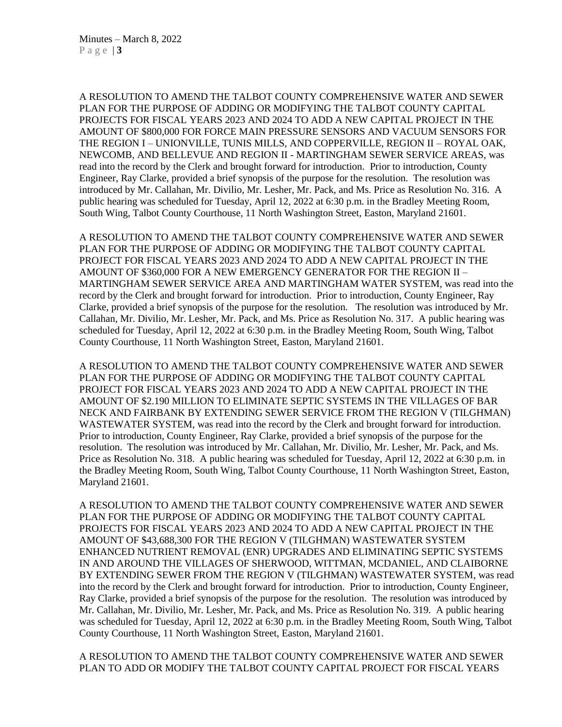A RESOLUTION TO AMEND THE TALBOT COUNTY COMPREHENSIVE WATER AND SEWER PLAN FOR THE PURPOSE OF ADDING OR MODIFYING THE TALBOT COUNTY CAPITAL PROJECTS FOR FISCAL YEARS 2023 AND 2024 TO ADD A NEW CAPITAL PROJECT IN THE AMOUNT OF \$800,000 FOR FORCE MAIN PRESSURE SENSORS AND VACUUM SENSORS FOR THE REGION I – UNIONVILLE, TUNIS MILLS, AND COPPERVILLE, REGION II – ROYAL OAK, NEWCOMB, AND BELLEVUE AND REGION II - MARTINGHAM SEWER SERVICE AREAS, was read into the record by the Clerk and brought forward for introduction. Prior to introduction, County Engineer, Ray Clarke, provided a brief synopsis of the purpose for the resolution. The resolution was introduced by Mr. Callahan, Mr. Divilio, Mr. Lesher, Mr. Pack, and Ms. Price as Resolution No. 316. A public hearing was scheduled for Tuesday, April 12, 2022 at 6:30 p.m. in the Bradley Meeting Room, South Wing, Talbot County Courthouse, 11 North Washington Street, Easton, Maryland 21601.

A RESOLUTION TO AMEND THE TALBOT COUNTY COMPREHENSIVE WATER AND SEWER PLAN FOR THE PURPOSE OF ADDING OR MODIFYING THE TALBOT COUNTY CAPITAL PROJECT FOR FISCAL YEARS 2023 AND 2024 TO ADD A NEW CAPITAL PROJECT IN THE AMOUNT OF \$360,000 FOR A NEW EMERGENCY GENERATOR FOR THE REGION II – MARTINGHAM SEWER SERVICE AREA AND MARTINGHAM WATER SYSTEM, was read into the record by the Clerk and brought forward for introduction. Prior to introduction, County Engineer, Ray Clarke, provided a brief synopsis of the purpose for the resolution. The resolution was introduced by Mr. Callahan, Mr. Divilio, Mr. Lesher, Mr. Pack, and Ms. Price as Resolution No. 317. A public hearing was scheduled for Tuesday, April 12, 2022 at 6:30 p.m. in the Bradley Meeting Room, South Wing, Talbot County Courthouse, 11 North Washington Street, Easton, Maryland 21601.

A RESOLUTION TO AMEND THE TALBOT COUNTY COMPREHENSIVE WATER AND SEWER PLAN FOR THE PURPOSE OF ADDING OR MODIFYING THE TALBOT COUNTY CAPITAL PROJECT FOR FISCAL YEARS 2023 AND 2024 TO ADD A NEW CAPITAL PROJECT IN THE AMOUNT OF \$2.190 MILLION TO ELIMINATE SEPTIC SYSTEMS IN THE VILLAGES OF BAR NECK AND FAIRBANK BY EXTENDING SEWER SERVICE FROM THE REGION V (TILGHMAN) WASTEWATER SYSTEM, was read into the record by the Clerk and brought forward for introduction. Prior to introduction, County Engineer, Ray Clarke, provided a brief synopsis of the purpose for the resolution. The resolution was introduced by Mr. Callahan, Mr. Divilio, Mr. Lesher, Mr. Pack, and Ms. Price as Resolution No. 318. A public hearing was scheduled for Tuesday, April 12, 2022 at 6:30 p.m. in the Bradley Meeting Room, South Wing, Talbot County Courthouse, 11 North Washington Street, Easton, Maryland 21601.

A RESOLUTION TO AMEND THE TALBOT COUNTY COMPREHENSIVE WATER AND SEWER PLAN FOR THE PURPOSE OF ADDING OR MODIFYING THE TALBOT COUNTY CAPITAL PROJECTS FOR FISCAL YEARS 2023 AND 2024 TO ADD A NEW CAPITAL PROJECT IN THE AMOUNT OF \$43,688,300 FOR THE REGION V (TILGHMAN) WASTEWATER SYSTEM ENHANCED NUTRIENT REMOVAL (ENR) UPGRADES AND ELIMINATING SEPTIC SYSTEMS IN AND AROUND THE VILLAGES OF SHERWOOD, WITTMAN, MCDANIEL, AND CLAIBORNE BY EXTENDING SEWER FROM THE REGION V (TILGHMAN) WASTEWATER SYSTEM, was read into the record by the Clerk and brought forward for introduction. Prior to introduction, County Engineer, Ray Clarke, provided a brief synopsis of the purpose for the resolution. The resolution was introduced by Mr. Callahan, Mr. Divilio, Mr. Lesher, Mr. Pack, and Ms. Price as Resolution No. 319. A public hearing was scheduled for Tuesday, April 12, 2022 at 6:30 p.m. in the Bradley Meeting Room, South Wing, Talbot County Courthouse, 11 North Washington Street, Easton, Maryland 21601.

A RESOLUTION TO AMEND THE TALBOT COUNTY COMPREHENSIVE WATER AND SEWER PLAN TO ADD OR MODIFY THE TALBOT COUNTY CAPITAL PROJECT FOR FISCAL YEARS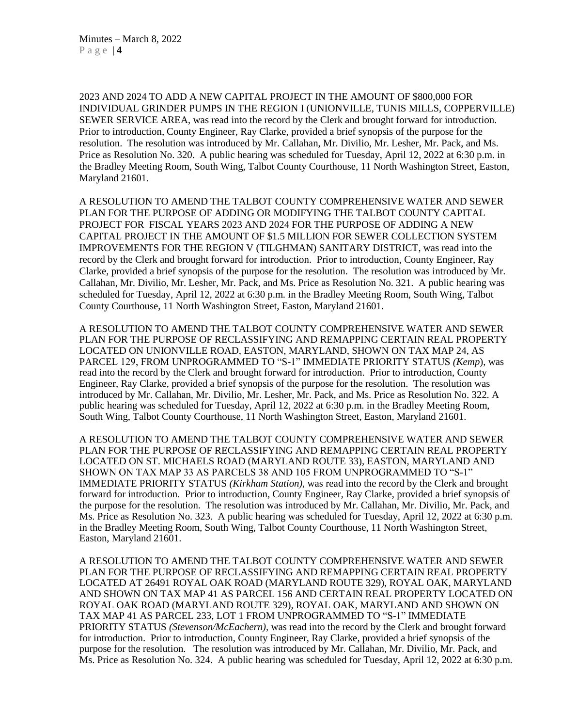2023 AND 2024 TO ADD A NEW CAPITAL PROJECT IN THE AMOUNT OF \$800,000 FOR INDIVIDUAL GRINDER PUMPS IN THE REGION I (UNIONVILLE, TUNIS MILLS, COPPERVILLE) SEWER SERVICE AREA, was read into the record by the Clerk and brought forward for introduction. Prior to introduction, County Engineer, Ray Clarke, provided a brief synopsis of the purpose for the resolution. The resolution was introduced by Mr. Callahan, Mr. Divilio, Mr. Lesher, Mr. Pack, and Ms. Price as Resolution No. 320. A public hearing was scheduled for Tuesday, April 12, 2022 at 6:30 p.m. in the Bradley Meeting Room, South Wing, Talbot County Courthouse, 11 North Washington Street, Easton, Maryland 21601.

A RESOLUTION TO AMEND THE TALBOT COUNTY COMPREHENSIVE WATER AND SEWER PLAN FOR THE PURPOSE OF ADDING OR MODIFYING THE TALBOT COUNTY CAPITAL PROJECT FOR FISCAL YEARS 2023 AND 2024 FOR THE PURPOSE OF ADDING A NEW CAPITAL PROJECT IN THE AMOUNT OF \$1.5 MILLION FOR SEWER COLLECTION SYSTEM IMPROVEMENTS FOR THE REGION V (TILGHMAN) SANITARY DISTRICT, was read into the record by the Clerk and brought forward for introduction. Prior to introduction, County Engineer, Ray Clarke, provided a brief synopsis of the purpose for the resolution. The resolution was introduced by Mr. Callahan, Mr. Divilio, Mr. Lesher, Mr. Pack, and Ms. Price as Resolution No. 321. A public hearing was scheduled for Tuesday, April 12, 2022 at 6:30 p.m. in the Bradley Meeting Room, South Wing, Talbot County Courthouse, 11 North Washington Street, Easton, Maryland 21601.

A RESOLUTION TO AMEND THE TALBOT COUNTY COMPREHENSIVE WATER AND SEWER PLAN FOR THE PURPOSE OF RECLASSIFYING AND REMAPPING CERTAIN REAL PROPERTY LOCATED ON UNIONVILLE ROAD, EASTON, MARYLAND, SHOWN ON TAX MAP 24, AS PARCEL 129, FROM UNPROGRAMMED TO "S-1" IMMEDIATE PRIORITY STATUS *(Kemp*), was read into the record by the Clerk and brought forward for introduction. Prior to introduction, County Engineer, Ray Clarke, provided a brief synopsis of the purpose for the resolution. The resolution was introduced by Mr. Callahan, Mr. Divilio, Mr. Lesher, Mr. Pack, and Ms. Price as Resolution No. 322. A public hearing was scheduled for Tuesday, April 12, 2022 at 6:30 p.m. in the Bradley Meeting Room, South Wing, Talbot County Courthouse, 11 North Washington Street, Easton, Maryland 21601.

A RESOLUTION TO AMEND THE TALBOT COUNTY COMPREHENSIVE WATER AND SEWER PLAN FOR THE PURPOSE OF RECLASSIFYING AND REMAPPING CERTAIN REAL PROPERTY LOCATED ON ST. MICHAELS ROAD (MARYLAND ROUTE 33), EASTON, MARYLAND AND SHOWN ON TAX MAP 33 AS PARCELS 38 AND 105 FROM UNPROGRAMMED TO "S-1" IMMEDIATE PRIORITY STATUS *(Kirkham Station),* was read into the record by the Clerk and brought forward for introduction. Prior to introduction, County Engineer, Ray Clarke, provided a brief synopsis of the purpose for the resolution. The resolution was introduced by Mr. Callahan, Mr. Divilio, Mr. Pack, and Ms. Price as Resolution No. 323. A public hearing was scheduled for Tuesday, April 12, 2022 at 6:30 p.m. in the Bradley Meeting Room, South Wing, Talbot County Courthouse, 11 North Washington Street, Easton, Maryland 21601.

A RESOLUTION TO AMEND THE TALBOT COUNTY COMPREHENSIVE WATER AND SEWER PLAN FOR THE PURPOSE OF RECLASSIFYING AND REMAPPING CERTAIN REAL PROPERTY LOCATED AT 26491 ROYAL OAK ROAD (MARYLAND ROUTE 329), ROYAL OAK, MARYLAND AND SHOWN ON TAX MAP 41 AS PARCEL 156 AND CERTAIN REAL PROPERTY LOCATED ON ROYAL OAK ROAD (MARYLAND ROUTE 329), ROYAL OAK, MARYLAND AND SHOWN ON TAX MAP 41 AS PARCEL 233, LOT 1 FROM UNPROGRAMMED TO "S-1" IMMEDIATE PRIORITY STATUS *(Stevenson/McEachern),* was read into the record by the Clerk and brought forward for introduction. Prior to introduction, County Engineer, Ray Clarke, provided a brief synopsis of the purpose for the resolution. The resolution was introduced by Mr. Callahan, Mr. Divilio, Mr. Pack, and Ms. Price as Resolution No. 324. A public hearing was scheduled for Tuesday, April 12, 2022 at 6:30 p.m.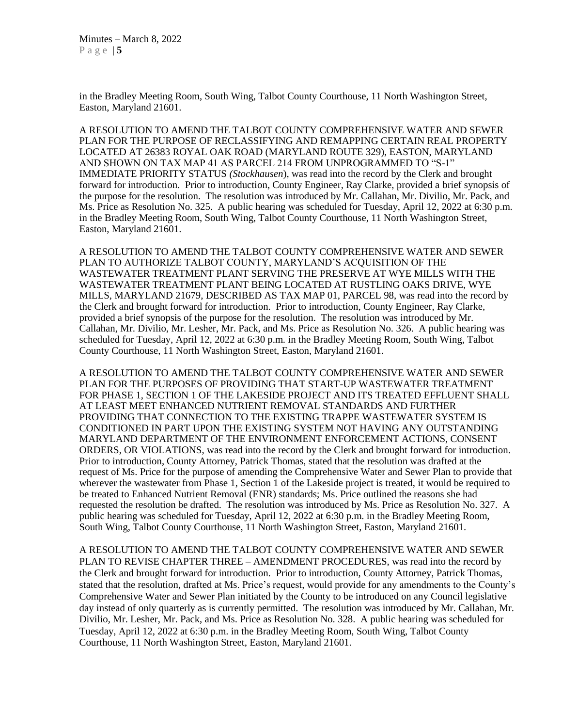in the Bradley Meeting Room, South Wing, Talbot County Courthouse, 11 North Washington Street, Easton, Maryland 21601.

A RESOLUTION TO AMEND THE TALBOT COUNTY COMPREHENSIVE WATER AND SEWER PLAN FOR THE PURPOSE OF RECLASSIFYING AND REMAPPING CERTAIN REAL PROPERTY LOCATED AT 26383 ROYAL OAK ROAD (MARYLAND ROUTE 329), EASTON, MARYLAND AND SHOWN ON TAX MAP 41 AS PARCEL 214 FROM UNPROGRAMMED TO "S-1" IMMEDIATE PRIORITY STATUS *(Stockhausen*), was read into the record by the Clerk and brought forward for introduction. Prior to introduction, County Engineer, Ray Clarke, provided a brief synopsis of the purpose for the resolution. The resolution was introduced by Mr. Callahan, Mr. Divilio, Mr. Pack, and Ms. Price as Resolution No. 325. A public hearing was scheduled for Tuesday, April 12, 2022 at 6:30 p.m. in the Bradley Meeting Room, South Wing, Talbot County Courthouse, 11 North Washington Street, Easton, Maryland 21601.

A RESOLUTION TO AMEND THE TALBOT COUNTY COMPREHENSIVE WATER AND SEWER PLAN TO AUTHORIZE TALBOT COUNTY, MARYLAND'S ACQUISITION OF THE WASTEWATER TREATMENT PLANT SERVING THE PRESERVE AT WYE MILLS WITH THE WASTEWATER TREATMENT PLANT BEING LOCATED AT RUSTLING OAKS DRIVE, WYE MILLS, MARYLAND 21679, DESCRIBED AS TAX MAP 01, PARCEL 98, was read into the record by the Clerk and brought forward for introduction. Prior to introduction, County Engineer, Ray Clarke, provided a brief synopsis of the purpose for the resolution. The resolution was introduced by Mr. Callahan, Mr. Divilio, Mr. Lesher, Mr. Pack, and Ms. Price as Resolution No. 326. A public hearing was scheduled for Tuesday, April 12, 2022 at 6:30 p.m. in the Bradley Meeting Room, South Wing, Talbot County Courthouse, 11 North Washington Street, Easton, Maryland 21601.

A RESOLUTION TO AMEND THE TALBOT COUNTY COMPREHENSIVE WATER AND SEWER PLAN FOR THE PURPOSES OF PROVIDING THAT START-UP WASTEWATER TREATMENT FOR PHASE 1, SECTION 1 OF THE LAKESIDE PROJECT AND ITS TREATED EFFLUENT SHALL AT LEAST MEET ENHANCED NUTRIENT REMOVAL STANDARDS AND FURTHER PROVIDING THAT CONNECTION TO THE EXISTING TRAPPE WASTEWATER SYSTEM IS CONDITIONED IN PART UPON THE EXISTING SYSTEM NOT HAVING ANY OUTSTANDING MARYLAND DEPARTMENT OF THE ENVIRONMENT ENFORCEMENT ACTIONS, CONSENT ORDERS, OR VIOLATIONS, was read into the record by the Clerk and brought forward for introduction. Prior to introduction, County Attorney, Patrick Thomas, stated that the resolution was drafted at the request of Ms. Price for the purpose of amending the Comprehensive Water and Sewer Plan to provide that wherever the wastewater from Phase 1, Section 1 of the Lakeside project is treated, it would be required to be treated to Enhanced Nutrient Removal (ENR) standards; Ms. Price outlined the reasons she had requested the resolution be drafted. The resolution was introduced by Ms. Price as Resolution No. 327. A public hearing was scheduled for Tuesday, April 12, 2022 at 6:30 p.m. in the Bradley Meeting Room, South Wing, Talbot County Courthouse, 11 North Washington Street, Easton, Maryland 21601.

A RESOLUTION TO AMEND THE TALBOT COUNTY COMPREHENSIVE WATER AND SEWER PLAN TO REVISE CHAPTER THREE – AMENDMENT PROCEDURES, was read into the record by the Clerk and brought forward for introduction. Prior to introduction, County Attorney, Patrick Thomas, stated that the resolution, drafted at Ms. Price's request, would provide for any amendments to the County's Comprehensive Water and Sewer Plan initiated by the County to be introduced on any Council legislative day instead of only quarterly as is currently permitted. The resolution was introduced by Mr. Callahan, Mr. Divilio, Mr. Lesher, Mr. Pack, and Ms. Price as Resolution No. 328. A public hearing was scheduled for Tuesday, April 12, 2022 at 6:30 p.m. in the Bradley Meeting Room, South Wing, Talbot County Courthouse, 11 North Washington Street, Easton, Maryland 21601.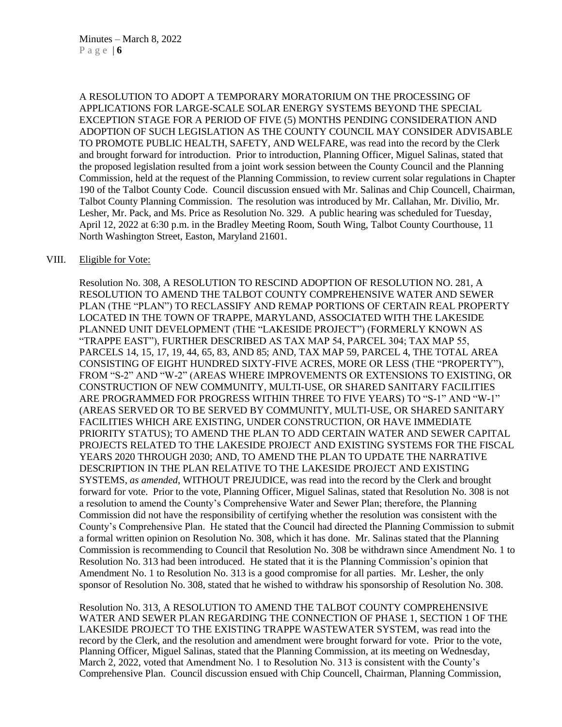A RESOLUTION TO ADOPT A TEMPORARY MORATORIUM ON THE PROCESSING OF APPLICATIONS FOR LARGE-SCALE SOLAR ENERGY SYSTEMS BEYOND THE SPECIAL EXCEPTION STAGE FOR A PERIOD OF FIVE (5) MONTHS PENDING CONSIDERATION AND ADOPTION OF SUCH LEGISLATION AS THE COUNTY COUNCIL MAY CONSIDER ADVISABLE TO PROMOTE PUBLIC HEALTH, SAFETY, AND WELFARE, was read into the record by the Clerk and brought forward for introduction. Prior to introduction, Planning Officer, Miguel Salinas, stated that the proposed legislation resulted from a joint work session between the County Council and the Planning Commission, held at the request of the Planning Commission, to review current solar regulations in Chapter 190 of the Talbot County Code. Council discussion ensued with Mr. Salinas and Chip Councell, Chairman, Talbot County Planning Commission. The resolution was introduced by Mr. Callahan, Mr. Divilio, Mr. Lesher, Mr. Pack, and Ms. Price as Resolution No. 329. A public hearing was scheduled for Tuesday, April 12, 2022 at 6:30 p.m. in the Bradley Meeting Room, South Wing, Talbot County Courthouse, 11 North Washington Street, Easton, Maryland 21601.

#### VIII. Eligible for Vote:

Resolution No. 308, A RESOLUTION TO RESCIND ADOPTION OF RESOLUTION NO. 281, A RESOLUTION TO AMEND THE TALBOT COUNTY COMPREHENSIVE WATER AND SEWER PLAN (THE "PLAN") TO RECLASSIFY AND REMAP PORTIONS OF CERTAIN REAL PROPERTY LOCATED IN THE TOWN OF TRAPPE, MARYLAND, ASSOCIATED WITH THE LAKESIDE PLANNED UNIT DEVELOPMENT (THE "LAKESIDE PROJECT") (FORMERLY KNOWN AS "TRAPPE EAST"), FURTHER DESCRIBED AS TAX MAP 54, PARCEL 304; TAX MAP 55, PARCELS 14, 15, 17, 19, 44, 65, 83, AND 85; AND, TAX MAP 59, PARCEL 4, THE TOTAL AREA CONSISTING OF EIGHT HUNDRED SIXTY-FIVE ACRES, MORE OR LESS (THE "PROPERTY"), FROM "S-2" AND "W-2" (AREAS WHERE IMPROVEMENTS OR EXTENSIONS TO EXISTING, OR CONSTRUCTION OF NEW COMMUNITY, MULTI-USE, OR SHARED SANITARY FACILITIES ARE PROGRAMMED FOR PROGRESS WITHIN THREE TO FIVE YEARS) TO "S-1" AND "W-1" (AREAS SERVED OR TO BE SERVED BY COMMUNITY, MULTI-USE, OR SHARED SANITARY FACILITIES WHICH ARE EXISTING, UNDER CONSTRUCTION, OR HAVE IMMEDIATE PRIORITY STATUS); TO AMEND THE PLAN TO ADD CERTAIN WATER AND SEWER CAPITAL PROJECTS RELATED TO THE LAKESIDE PROJECT AND EXISTING SYSTEMS FOR THE FISCAL YEARS 2020 THROUGH 2030; AND, TO AMEND THE PLAN TO UPDATE THE NARRATIVE DESCRIPTION IN THE PLAN RELATIVE TO THE LAKESIDE PROJECT AND EXISTING SYSTEMS, *as amended*, WITHOUT PREJUDICE, was read into the record by the Clerk and brought forward for vote. Prior to the vote, Planning Officer, Miguel Salinas, stated that Resolution No. 308 is not a resolution to amend the County's Comprehensive Water and Sewer Plan; therefore, the Planning Commission did not have the responsibility of certifying whether the resolution was consistent with the County's Comprehensive Plan. He stated that the Council had directed the Planning Commission to submit a formal written opinion on Resolution No. 308, which it has done. Mr. Salinas stated that the Planning Commission is recommending to Council that Resolution No. 308 be withdrawn since Amendment No. 1 to Resolution No. 313 had been introduced. He stated that it is the Planning Commission's opinion that Amendment No. 1 to Resolution No. 313 is a good compromise for all parties. Mr. Lesher, the only sponsor of Resolution No. 308, stated that he wished to withdraw his sponsorship of Resolution No. 308.

Resolution No. 313, A RESOLUTION TO AMEND THE TALBOT COUNTY COMPREHENSIVE WATER AND SEWER PLAN REGARDING THE CONNECTION OF PHASE 1, SECTION 1 OF THE LAKESIDE PROJECT TO THE EXISTING TRAPPE WASTEWATER SYSTEM, was read into the record by the Clerk, and the resolution and amendment were brought forward for vote. Prior to the vote, Planning Officer, Miguel Salinas, stated that the Planning Commission, at its meeting on Wednesday, March 2, 2022, voted that Amendment No. 1 to Resolution No. 313 is consistent with the County's Comprehensive Plan. Council discussion ensued with Chip Councell, Chairman, Planning Commission,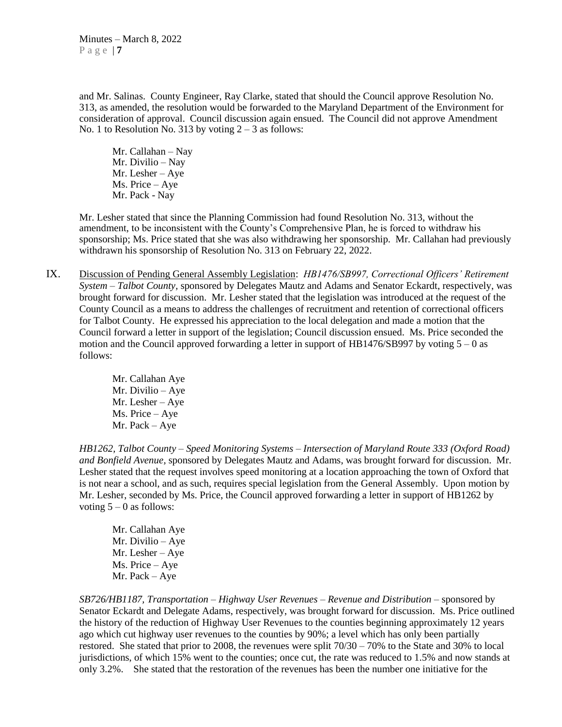and Mr. Salinas. County Engineer, Ray Clarke, stated that should the Council approve Resolution No. 313, as amended, the resolution would be forwarded to the Maryland Department of the Environment for consideration of approval. Council discussion again ensued. The Council did not approve Amendment No. 1 to Resolution No. 313 by voting  $2 - 3$  as follows:

Mr. Callahan – Nay Mr. Divilio – Nay Mr. Lesher – Aye Ms. Price – Aye Mr. Pack - Nay

Mr. Lesher stated that since the Planning Commission had found Resolution No. 313, without the amendment, to be inconsistent with the County's Comprehensive Plan, he is forced to withdraw his sponsorship; Ms. Price stated that she was also withdrawing her sponsorship. Mr. Callahan had previously withdrawn his sponsorship of Resolution No. 313 on February 22, 2022.

- IX. Discussion of Pending General Assembly Legislation: *HB1476/SB997, Correctional Officers' Retirement System – Talbot County,* sponsored by Delegates Mautz and Adams and Senator Eckardt, respectively, was brought forward for discussion. Mr. Lesher stated that the legislation was introduced at the request of the County Council as a means to address the challenges of recruitment and retention of correctional officers for Talbot County. He expressed his appreciation to the local delegation and made a motion that the Council forward a letter in support of the legislation; Council discussion ensued. Ms. Price seconded the motion and the Council approved forwarding a letter in support of  $HB1476/SB997$  by voting  $5-0$  as follows:
	- Mr. Callahan Aye Mr. Divilio – Aye Mr. Lesher – Aye Ms. Price – Aye Mr. Pack – Aye

*HB1262, Talbot County – Speed Monitoring Systems – Intersection of Maryland Route 333 (Oxford Road) and Bonfield Avenue,* sponsored by Delegates Mautz and Adams, was brought forward for discussion. Mr. Lesher stated that the request involves speed monitoring at a location approaching the town of Oxford that is not near a school, and as such, requires special legislation from the General Assembly. Upon motion by Mr. Lesher, seconded by Ms. Price, the Council approved forwarding a letter in support of HB1262 by voting  $5 - 0$  as follows:

Mr. Callahan Aye Mr. Divilio – Aye Mr. Lesher – Aye Ms. Price – Aye Mr. Pack – Aye

*SB726/HB1187, Transportation – Highway User Revenues – Revenue and Distribution –* sponsored by Senator Eckardt and Delegate Adams, respectively, was brought forward for discussion. Ms. Price outlined the history of the reduction of Highway User Revenues to the counties beginning approximately 12 years ago which cut highway user revenues to the counties by 90%; a level which has only been partially restored. She stated that prior to 2008, the revenues were split 70/30 – 70% to the State and 30% to local jurisdictions, of which 15% went to the counties; once cut, the rate was reduced to 1.5% and now stands at only 3.2%. She stated that the restoration of the revenues has been the number one initiative for the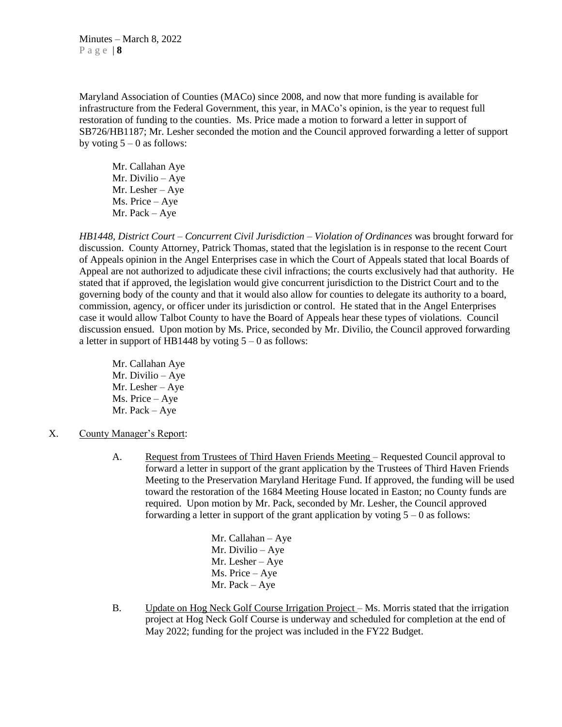Maryland Association of Counties (MACo) since 2008, and now that more funding is available for infrastructure from the Federal Government, this year, in MACo's opinion, is the year to request full restoration of funding to the counties. Ms. Price made a motion to forward a letter in support of SB726/HB1187; Mr. Lesher seconded the motion and the Council approved forwarding a letter of support by voting  $5 - 0$  as follows:

Mr. Callahan Aye Mr. Divilio – Aye Mr. Lesher – Aye Ms. Price – Aye Mr. Pack – Aye

*HB1448, District Court – Concurrent Civil Jurisdiction – Violation of Ordinances* was brought forward for discussion.County Attorney, Patrick Thomas, stated that the legislation is in response to the recent Court of Appeals opinion in the Angel Enterprises case in which the Court of Appeals stated that local Boards of Appeal are not authorized to adjudicate these civil infractions; the courts exclusively had that authority. He stated that if approved, the legislation would give concurrent jurisdiction to the District Court and to the governing body of the county and that it would also allow for counties to delegate its authority to a board, commission, agency, or officer under its jurisdiction or control. He stated that in the Angel Enterprises case it would allow Talbot County to have the Board of Appeals hear these types of violations. Council discussion ensued. Upon motion by Ms. Price, seconded by Mr. Divilio, the Council approved forwarding a letter in support of HB1448 by voting  $5 - 0$  as follows:

- Mr. Callahan Aye Mr. Divilio – Aye Mr. Lesher – Aye Ms. Price – Aye Mr. Pack – Aye
- X. County Manager's Report:
	- A. Request from Trustees of Third Haven Friends Meeting Requested Council approval to forward a letter in support of the grant application by the Trustees of Third Haven Friends Meeting to the Preservation Maryland Heritage Fund. If approved, the funding will be used toward the restoration of the 1684 Meeting House located in Easton; no County funds are required. Upon motion by Mr. Pack, seconded by Mr. Lesher, the Council approved forwarding a letter in support of the grant application by voting  $5 - 0$  as follows:
		- Mr. Callahan Aye Mr. Divilio – Aye Mr. Lesher – Aye Ms. Price – Aye Mr. Pack – Aye
	- B. Update on Hog Neck Golf Course Irrigation Project Ms. Morris stated that the irrigation project at Hog Neck Golf Course is underway and scheduled for completion at the end of May 2022; funding for the project was included in the FY22 Budget.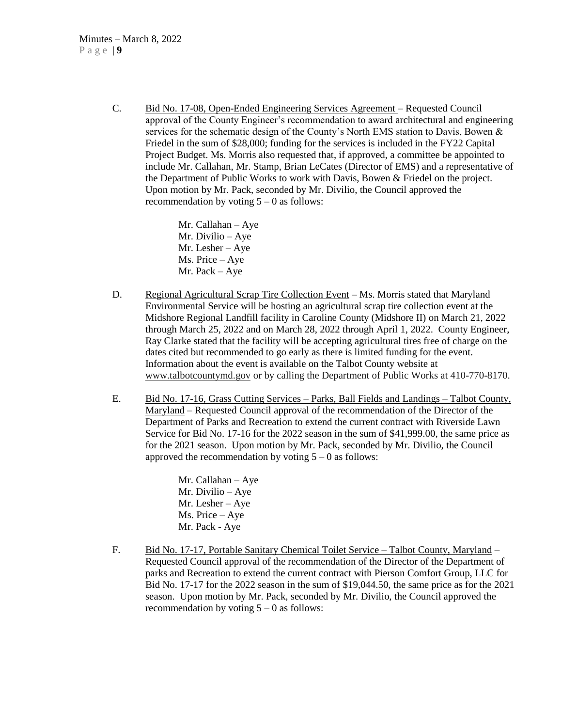C. Bid No. 17-08, Open-Ended Engineering Services Agreement – Requested Council approval of the County Engineer's recommendation to award architectural and engineering services for the schematic design of the County's North EMS station to Davis, Bowen & Friedel in the sum of \$28,000; funding for the services is included in the FY22 Capital Project Budget. Ms. Morris also requested that, if approved, a committee be appointed to include Mr. Callahan, Mr. Stamp, Brian LeCates (Director of EMS) and a representative of the Department of Public Works to work with Davis, Bowen & Friedel on the project. Upon motion by Mr. Pack, seconded by Mr. Divilio, the Council approved the recommendation by voting  $5 - 0$  as follows:

> Mr. Callahan – Aye Mr. Divilio – Aye Mr. Lesher – Aye Ms. Price – Aye Mr. Pack – Aye

- D. Regional Agricultural Scrap Tire Collection Event Ms. Morris stated that Maryland Environmental Service will be hosting an agricultural scrap tire collection event at the Midshore Regional Landfill facility in Caroline County (Midshore II) on March 21, 2022 through March 25, 2022 and on March 28, 2022 through April 1, 2022. County Engineer, Ray Clarke stated that the facility will be accepting agricultural tires free of charge on the dates cited but recommended to go early as there is limited funding for the event. Information about the event is available on the Talbot County website at [www.talbotcountymd.gov](http://www.talbotcountymd.gov/) or by calling the Department of Public Works at 410-770-8170.
- E. Bid No. 17-16, Grass Cutting Services Parks, Ball Fields and Landings Talbot County, Maryland – Requested Council approval of the recommendation of the Director of the Department of Parks and Recreation to extend the current contract with Riverside Lawn Service for Bid No. 17-16 for the 2022 season in the sum of \$41,999.00, the same price as for the 2021 season. Upon motion by Mr. Pack, seconded by Mr. Divilio, the Council approved the recommendation by voting  $5 - 0$  as follows:

Mr. Callahan – Aye Mr. Divilio – Aye Mr. Lesher – Aye Ms. Price – Aye Mr. Pack - Aye

F. Bid No. 17-17, Portable Sanitary Chemical Toilet Service – Talbot County, Maryland – Requested Council approval of the recommendation of the Director of the Department of parks and Recreation to extend the current contract with Pierson Comfort Group, LLC for Bid No. 17-17 for the 2022 season in the sum of \$19,044.50, the same price as for the 2021 season. Upon motion by Mr. Pack, seconded by Mr. Divilio, the Council approved the recommendation by voting  $5 - 0$  as follows: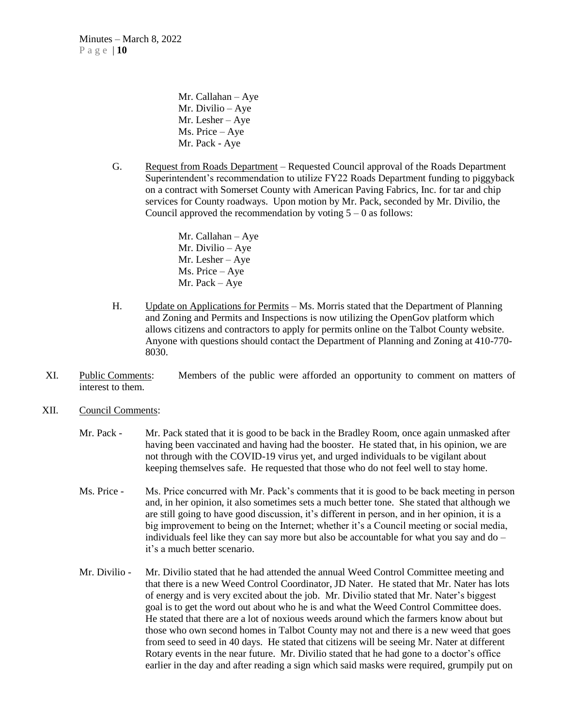Mr. Callahan – Aye Mr. Divilio – Aye Mr. Lesher – Aye Ms. Price – Aye Mr. Pack - Aye

G. Request from Roads Department – Requested Council approval of the Roads Department Superintendent's recommendation to utilize FY22 Roads Department funding to piggyback on a contract with Somerset County with American Paving Fabrics, Inc. for tar and chip services for County roadways. Upon motion by Mr. Pack, seconded by Mr. Divilio, the Council approved the recommendation by voting  $5 - 0$  as follows:

> Mr. Callahan – Aye Mr. Divilio – Aye Mr. Lesher – Aye Ms. Price – Aye Mr. Pack – Aye

- H. Update on Applications for Permits Ms. Morris stated that the Department of Planning and Zoning and Permits and Inspections is now utilizing the OpenGov platform which allows citizens and contractors to apply for permits online on the Talbot County website. Anyone with questions should contact the Department of Planning and Zoning at 410-770- 8030.
- XI. Public Comments: Members of the public were afforded an opportunity to comment on matters of interest to them.
- XII. Council Comments:
	- Mr. Pack Mr. Pack stated that it is good to be back in the Bradley Room, once again unmasked after having been vaccinated and having had the booster. He stated that, in his opinion, we are not through with the COVID-19 virus yet, and urged individuals to be vigilant about keeping themselves safe. He requested that those who do not feel well to stay home.
	- Ms. Price Ms. Price concurred with Mr. Pack's comments that it is good to be back meeting in person and, in her opinion, it also sometimes sets a much better tone. She stated that although we are still going to have good discussion, it's different in person, and in her opinion, it is a big improvement to being on the Internet; whether it's a Council meeting or social media, individuals feel like they can say more but also be accountable for what you say and do – it's a much better scenario.
	- Mr. Divilio Mr. Divilio stated that he had attended the annual Weed Control Committee meeting and that there is a new Weed Control Coordinator, JD Nater. He stated that Mr. Nater has lots of energy and is very excited about the job. Mr. Divilio stated that Mr. Nater's biggest goal is to get the word out about who he is and what the Weed Control Committee does. He stated that there are a lot of noxious weeds around which the farmers know about but those who own second homes in Talbot County may not and there is a new weed that goes from seed to seed in 40 days. He stated that citizens will be seeing Mr. Nater at different Rotary events in the near future. Mr. Divilio stated that he had gone to a doctor's office earlier in the day and after reading a sign which said masks were required, grumpily put on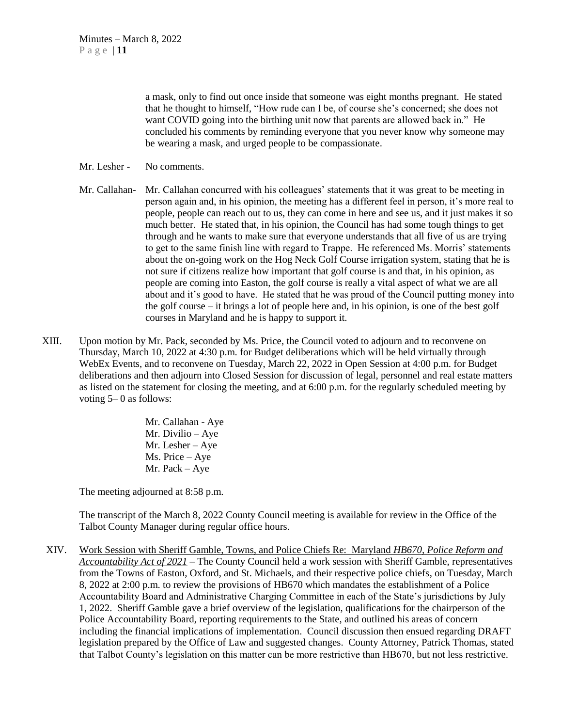a mask, only to find out once inside that someone was eight months pregnant. He stated that he thought to himself, "How rude can I be, of course she's concerned; she does not want COVID going into the birthing unit now that parents are allowed back in." He concluded his comments by reminding everyone that you never know why someone may be wearing a mask, and urged people to be compassionate.

- Mr. Lesher No comments.
- Mr. Callahan- Mr. Callahan concurred with his colleagues' statements that it was great to be meeting in person again and, in his opinion, the meeting has a different feel in person, it's more real to people, people can reach out to us, they can come in here and see us, and it just makes it so much better. He stated that, in his opinion, the Council has had some tough things to get through and he wants to make sure that everyone understands that all five of us are trying to get to the same finish line with regard to Trappe. He referenced Ms. Morris' statements about the on-going work on the Hog Neck Golf Course irrigation system, stating that he is not sure if citizens realize how important that golf course is and that, in his opinion, as people are coming into Easton, the golf course is really a vital aspect of what we are all about and it's good to have. He stated that he was proud of the Council putting money into the golf course – it brings a lot of people here and, in his opinion, is one of the best golf courses in Maryland and he is happy to support it.
- XIII. Upon motion by Mr. Pack, seconded by Ms. Price, the Council voted to adjourn and to reconvene on Thursday, March 10, 2022 at 4:30 p.m. for Budget deliberations which will be held virtually through WebEx Events, and to reconvene on Tuesday, March 22, 2022 in Open Session at 4:00 p.m. for Budget deliberations and then adjourn into Closed Session for discussion of legal, personnel and real estate matters as listed on the statement for closing the meeting, and at 6:00 p.m. for the regularly scheduled meeting by voting 5– 0 as follows:

Mr. Callahan - Aye Mr. Divilio – Aye Mr. Lesher – Aye Ms. Price – Aye Mr. Pack – Aye

The meeting adjourned at 8:58 p.m.

The transcript of the March 8, 2022 County Council meeting is available for review in the Office of the Talbot County Manager during regular office hours.

XIV. Work Session with Sheriff Gamble, Towns, and Police Chiefs Re: Maryland *HB670, Police Reform and Accountability Act of 2021* – The County Council held a work session with Sheriff Gamble, representatives from the Towns of Easton, Oxford, and St. Michaels, and their respective police chiefs, on Tuesday, March 8, 2022 at 2:00 p.m. to review the provisions of HB670 which mandates the establishment of a Police Accountability Board and Administrative Charging Committee in each of the State's jurisdictions by July 1, 2022. Sheriff Gamble gave a brief overview of the legislation, qualifications for the chairperson of the Police Accountability Board, reporting requirements to the State, and outlined his areas of concern including the financial implications of implementation. Council discussion then ensued regarding DRAFT legislation prepared by the Office of Law and suggested changes. County Attorney, Patrick Thomas, stated that Talbot County's legislation on this matter can be more restrictive than HB670, but not less restrictive.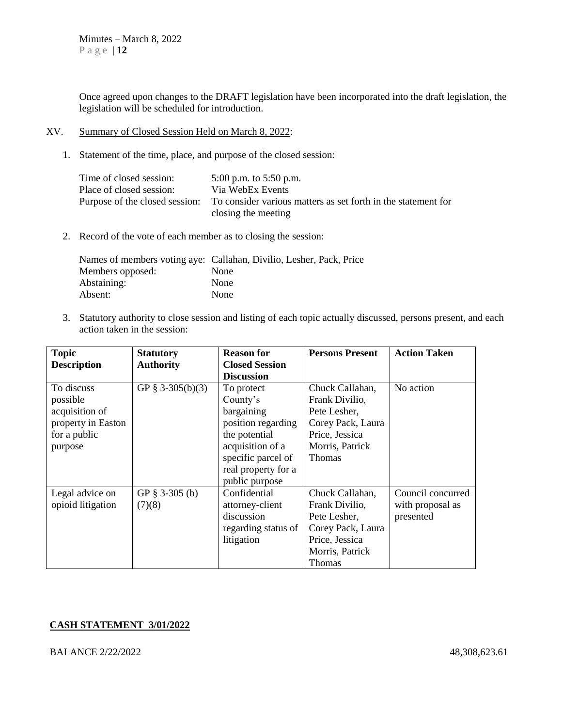Once agreed upon changes to the DRAFT legislation have been incorporated into the draft legislation, the legislation will be scheduled for introduction.

#### XV. Summary of Closed Session Held on March 8, 2022:

1. Statement of the time, place, and purpose of the closed session:

| Time of closed session:  | 5:00 p.m. to 5:50 p.m.                                                                       |
|--------------------------|----------------------------------------------------------------------------------------------|
| Place of closed session: | Via WebEx Events                                                                             |
|                          | Purpose of the closed session: To consider various matters as set forth in the statement for |
|                          | closing the meeting                                                                          |

2. Record of the vote of each member as to closing the session:

|                  | Names of members voting aye: Callahan, Divilio, Lesher, Pack, Price |
|------------------|---------------------------------------------------------------------|
| Members opposed: | None                                                                |
| Abstaining:      | None                                                                |
| Absent:          | None                                                                |

3. Statutory authority to close session and listing of each topic actually discussed, persons present, and each action taken in the session:

| <b>Topic</b>       | <b>Statutory</b> | <b>Reason for</b>     | <b>Persons Present</b> | <b>Action Taken</b> |
|--------------------|------------------|-----------------------|------------------------|---------------------|
| <b>Description</b> | <b>Authority</b> | <b>Closed Session</b> |                        |                     |
|                    |                  | <b>Discussion</b>     |                        |                     |
| To discuss         | GP § 3-305(b)(3) | To protect            | Chuck Callahan,        | No action           |
| possible           |                  | County's              | Frank Divilio,         |                     |
| acquisition of     |                  | bargaining            | Pete Lesher,           |                     |
| property in Easton |                  | position regarding    | Corey Pack, Laura      |                     |
| for a public       |                  | the potential         | Price, Jessica         |                     |
| purpose            |                  | acquisition of a      | Morris, Patrick        |                     |
|                    |                  | specific parcel of    | <b>Thomas</b>          |                     |
|                    |                  | real property for a   |                        |                     |
|                    |                  | public purpose        |                        |                     |
| Legal advice on    | GP $§$ 3-305 (b) | Confidential          | Chuck Callahan,        | Council concurred   |
| opioid litigation  | (7)(8)           | attorney-client       | Frank Divilio,         | with proposal as    |
|                    |                  | discussion            | Pete Lesher,           | presented           |
|                    |                  | regarding status of   | Corey Pack, Laura      |                     |
|                    |                  | litigation            | Price, Jessica         |                     |
|                    |                  |                       | Morris, Patrick        |                     |
|                    |                  |                       | Thomas                 |                     |

### **CASH STATEMENT 3/01/2022**

BALANCE 2/22/2022 48,308,623.61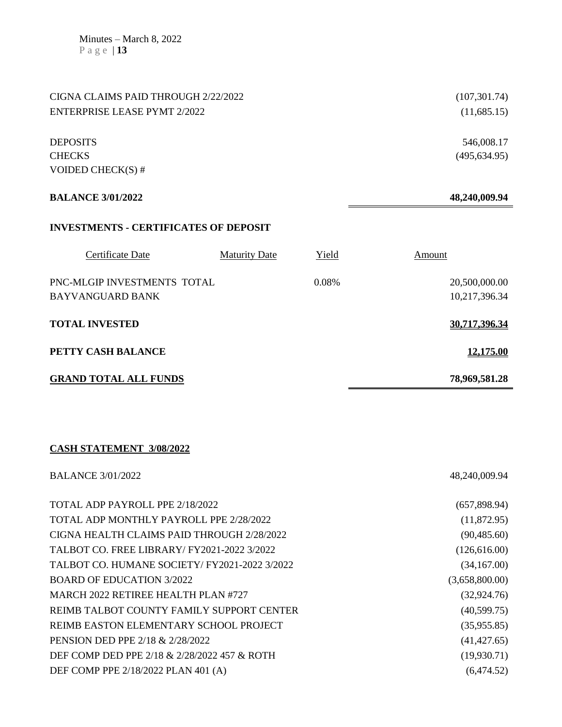| CIGNA CLAIMS PAID THROUGH 2/22/2022          |                      |       | (107, 301.74) |
|----------------------------------------------|----------------------|-------|---------------|
| <b>ENTERPRISE LEASE PYMT 2/2022</b>          |                      |       | (11,685.15)   |
|                                              |                      |       |               |
| <b>DEPOSITS</b>                              |                      |       | 546,008.17    |
| <b>CHECKS</b>                                |                      |       | (495, 634.95) |
| VOIDED CHECK(S) $#$                          |                      |       |               |
| <b>BALANCE 3/01/2022</b>                     |                      |       | 48,240,009.94 |
|                                              |                      |       |               |
| <b>INVESTMENTS - CERTIFICATES OF DEPOSIT</b> |                      |       |               |
| Certificate Date                             | <b>Maturity Date</b> | Yield | Amount        |
| PNC-MLGIP INVESTMENTS TOTAL                  |                      | 0.08% | 20,500,000.00 |
| <b>BAYVANGUARD BANK</b>                      |                      |       | 10,217,396.34 |
| <b>TOTAL INVESTED</b>                        |                      |       | 30,717,396.34 |
| PETTY CASH BALANCE                           |                      |       | 12,175.00     |
| <b>GRAND TOTAL ALL FUNDS</b>                 |                      |       | 78,969,581.28 |

## **CASH STATEMENT 3/08/2022**

| <b>BALANCE 3/01/2022</b>                      | 48,240,009.94  |
|-----------------------------------------------|----------------|
|                                               |                |
| TOTAL ADP PAYROLL PPE 2/18/2022               | (657,898.94)   |
| TOTAL ADP MONTHLY PAYROLL PPE 2/28/2022       | (11,872.95)    |
| CIGNA HEALTH CLAIMS PAID THROUGH 2/28/2022    | (90, 485.60)   |
| TALBOT CO. FREE LIBRARY/ FY2021-2022 3/2022   | (126,616.00)   |
| TALBOT CO. HUMANE SOCIETY/ FY2021-2022 3/2022 | (34,167.00)    |
| <b>BOARD OF EDUCATION 3/2022</b>              | (3,658,800.00) |
| MARCH 2022 RETIREE HEALTH PLAN #727           | (32, 924.76)   |
| REIMB TALBOT COUNTY FAMILY SUPPORT CENTER     | (40,599.75)    |
| REIMB EASTON ELEMENTARY SCHOOL PROJECT        | (35,955.85)    |
| PENSION DED PPE 2/18 & 2/28/2022              | (41, 427.65)   |
| DEF COMP DED PPE 2/18 & 2/28/2022 457 & ROTH  | (19,930.71)    |
| DEF COMP PPE 2/18/2022 PLAN 401 (A)           | (6,474.52)     |